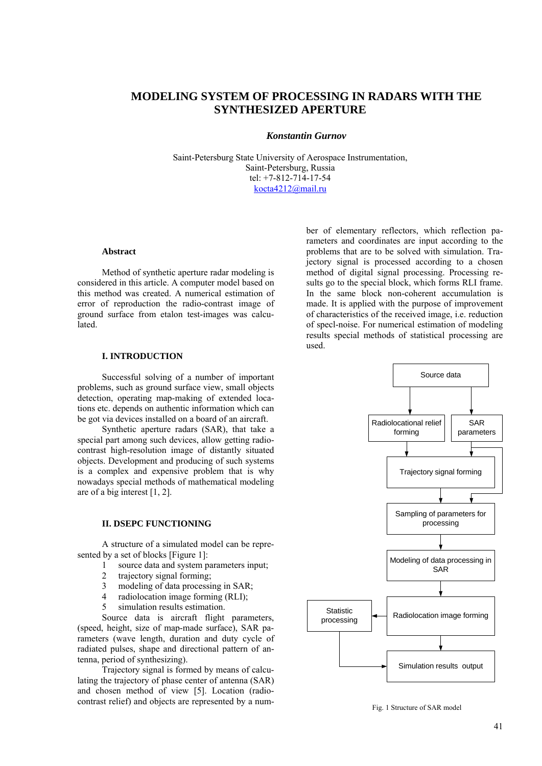# **MODELING SYSTEM OF PROCESSING IN RADARS WITH THE SYNTHESIZED APERTURE**

#### *Konstantin Gurnov*

Saint-Petersburg State University of Aerospace Instrumentation, Saint-Petersburg, Russia tel: +7-812-714-17-54 [kocta4212@mail.ru](mailto:kocta4212@mail.ru)

### **Abstract**

Method of synthetic aperture radar modeling is considered in this article. A computer model based on this method was created. A numerical estimation of error of reproduction the radio-contrast image of ground surface from etalon test-images was calcu**lated** 

## **I. INTRODUCTION**

Successful solving of a number of important problems, such as ground surface view, small objects detection, operating map-making of extended locations etc. depends on authentic information which can be got via devices installed on a board of an aircraft.

Synthetic aperture radars (SAR), that take a special part among such devices, allow getting radiocontrast high-resolution image of distantly situated objects. Development and producing of such systems is a complex and expensive problem that is why nowadays special methods of mathematical modeling are of a big interest [1, 2].

#### **II. DSEPC FUNCTIONING**

A structure of a simulated model can be represented by a set of blocks [Figure 1]:

- 1 source data and system parameters input;
- 2 trajectory signal forming;
- 3 modeling of data processing in SAR;
- 4 radiolocation image forming (RLI);
- 5 simulation results estimation.

Source data is aircraft flight parameters, (speed, height, size of map-made surface), SAR parameters (wave length, duration and duty cycle of radiated pulses, shape and directional pattern of antenna, period of synthesizing).

Trajectory signal is formed by means of calculating the trajectory of phase center of antenna (SAR) and chosen method of view [5]. Location (radiocontrast relief) and objects are represented by a num-

ber of elementary reflectors, which reflection parameters and coordinates are input according to the problems that are to be solved with simulation. Trajectory signal is processed according to a chosen method of digital signal processing. Processing results go to the special block, which forms RLI frame. In the same block non-coherent accumulation is made. It is applied with the purpose of improvement of characteristics of the received image, i.e. reduction of specl-noise. For numerical estimation of modeling results special methods of statistical processing are used.



Fig. 1 Structure of SAR model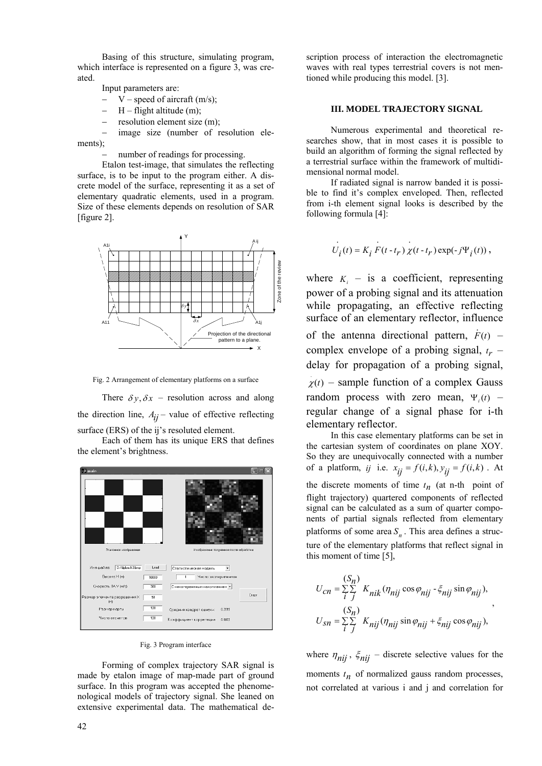Basing of this structure, simulating program, which interface is represented on a figure 3, was created.

Input parameters are:

- $V$  speed of aircraft (m/s);
- $H flight$  altitude (m);
- resolution element size (m);

− image size (number of resolution elements);

number of readings for processing.

Etalon test-image, that simulates the reflecting surface, is to be input to the program either. A discrete model of the surface, representing it as a set of elementary quadratic elements, used in a program. Size of these elements depends on resolution of SAR [figure 2].



Fig. 2 Arrangement of elementary platforms on a surface

There  $\delta y$ ,  $\delta x$  – resolution across and along the direction line,  $A_{ij}$  – value of effective reflecting surface (ERS) of the ij's resoluted element.

Each of them has its unique ERS that defines the element's brightness.



Fig. 3 Program interface

Forming of complex trajectory SAR signal is made by etalon image of map-made part of ground surface. In this program was accepted the phenomenological models of trajectory signal. She leaned on extensive experimental data. The mathematical description process of interaction the electromagnetic waves with real types terrestrial covers is not mentioned while producing this model. [3].

#### **III. MODEL TRAJECTORY SIGNAL**

Numerous experimental and theoretical researches show, that in most cases it is possible to build an algorithm of forming the signal reflected by a terrestrial surface within the framework of multidimensional normal model.

If radiated signal is narrow banded it is possible to find it's complex enveloped. Then, reflected from i-th element signal looks is described by the following formula [4]:

. ..

$$
U_i(t) = K_i F(t - t_r) \chi(t - t_r) \exp(-j\Psi_i(t)),
$$

where  $K_i$  – is a coefficient, representing power of a probing signal and its attenuation while propagating, an effective reflecting surface of an elementary reflector, influence of the antenna directional pattern,  $\dot{F}(t)$  – complex envelope of a probing signal,  $t_r$  – delay for propagation of a probing signal,  $\chi(t)$  – sample function of a complex Gauss random process with zero mean,  $\Psi_i(t)$  – regular change of a signal phase for i-th elementary reflector.

In this case elementary platforms can be set in the cartesian system of coordinates on plane XOY. So they are unequivocally connected with a number of a platform, *ij* i.e.  $x_{ij} = f(i, k), y_{ij} = f(i, k)$ . At the discrete moments of time  $t_n$  (at n-th point of flight trajectory) quartered components of reflected signal can be calculated as a sum of quarter components of partial signals reflected from elementary platforms of some area  $S<sub>n</sub>$ . This area defines a structure of the elementary platforms that reflect signal in this moment of time [5],

$$
U_{cn} = \sum_{i}^{(S_n)} \sum_{j}^{K} K_{nik} (\eta_{nij} \cos \varphi_{nij} - \xi_{nij} \sin \varphi_{nij}),
$$
  

$$
U_{sn} = \sum_{i}^{(S_n)} \sum_{j}^{K} K_{nij} (\eta_{nij} \sin \varphi_{nij} + \xi_{nij} \cos \varphi_{nij}),
$$

where  $\eta_{nij}$ ,  $\xi_{nij}$  – discrete selective values for the moments  $t_n$  of normalized gauss random processes, not correlated at various i and j and correlation for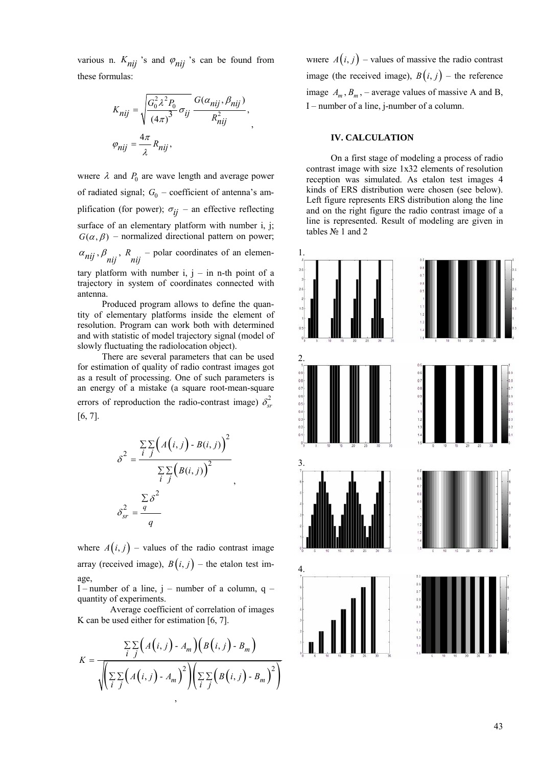various n.  $K_{nij}$  's and  $\varphi_{nij}$  's can be found from these formulas:

$$
K_{nij} = \sqrt{\frac{G_0^2 \lambda^2 P_0}{(4\pi)^3} \sigma_{ij}} \frac{G(\alpha_{nij}, \beta_{nij})}{R_{nij}^2},
$$
  

$$
\varphi_{nij} = \frac{4\pi}{\lambda} R_{nij},
$$

where  $\lambda$  and  $P_0$  are wave length and average power of radiated signal;  $G_0$  – coefficient of antenna's amplification (for power);  $\sigma_{ij}$  – an effective reflecting surface of an elementary platform with number i, j;  $G(\alpha, \beta)$  – normalized directional pattern on power;  $\alpha_{nij}$ ,  $\beta_{nij}$ ,  $R_{nij}$  – polar coordinates of an elementary platform with number  $i, j - in$  n-th point of a

trajectory in system of coordinates connected with antenna. Produced program allows to define the quan-

tity of elementary platforms inside the element of resolution. Program can work both with determined and with statistic of model trajectory signal (model of slowly fluctuating the radiolocation object).

There are several parameters that can be used for estimation of quality of radio contrast images got as a result of processing. One of such parameters is an energy of a mistake (a square root-mean-square errors of reproduction the radio-contrast image)  $\delta_{sr}^2$ [6, 7].

$$
\delta^2 = \frac{\sum_{i} \sum_{j} (A(i, j) - B(i, j))^{2}}{\sum_{i} \sum_{j} (B(i, j))^{2}}
$$

$$
\delta_{sr}^2 = \frac{\sum_{q} \delta^2}{q}
$$

,

where  $A(i, j)$  – values of the radio contrast image array (received image),  $B(i, j)$  – the etalon test image,

I – number of a line,  $j$  – number of a column,  $q$  – quantity of experiments.

Average coefficient of correlation of images K can be used either for estimation [6, 7].

$$
K = \frac{\sum_{i} \sum_{j} \Big(A(i,j) - A_m\Big) \Big(B(i,j) - B_m\Big)}{\sqrt{\Big(\sum_{i} \sum_{j} \Big(A(i,j) - A_m\Big)^2\Big)\Big(\sum_{i} \sum_{j} \Big(B(i,j) - B_m\Big)^2\Big)}}
$$

where  $A(i, j)$  – values of massive the radio contrast image (the received image),  $B(i, j)$  – the reference image  $A_m$ ,  $B_m$ , – average values of massive A and B, I – number of a line, j-number of a column.

### **IV. CALCULATION**

On a first stage of modeling a process of radio contrast image with size 1x32 elements of resolution reception was simulated. As etalon test images 4 kinds of ERS distribution were chosen (see below). Left figure represents ERS distribution along the line and on the right figure the radio contrast image of a line is represented. Result of modeling are given in tables № 1 and 2